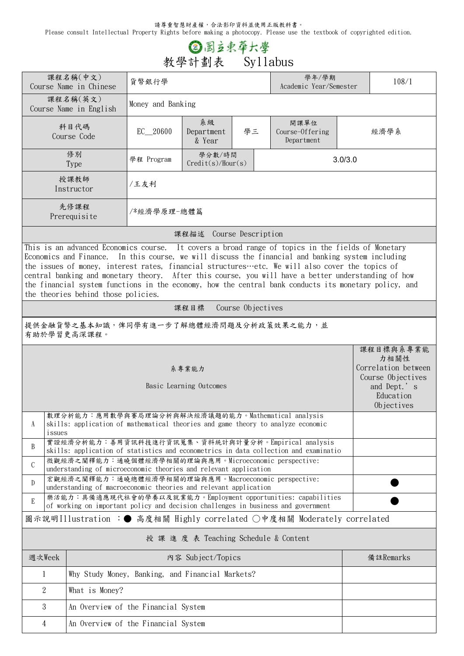請尊重智慧財產權,合法影印資料並使用正版教科書。

Please consult Intellectual Property Rights before making a photocopy. Please use the textbook of copyrighted edition.

## **③图立束草大學**<br>教學計劃表 Syllabus

|                                                                                                                                                                                                                                                                                                                                                                                                                                                                                                                                                                     | 課程名稱(中文)<br>Course Name in Chinese                                                                                                               | 貨幣銀行學                                                |                            | 學年/學期<br>Academic Year/Semester | 108/1                                 |  |                                                                                                         |  |  |  |
|---------------------------------------------------------------------------------------------------------------------------------------------------------------------------------------------------------------------------------------------------------------------------------------------------------------------------------------------------------------------------------------------------------------------------------------------------------------------------------------------------------------------------------------------------------------------|--------------------------------------------------------------------------------------------------------------------------------------------------|------------------------------------------------------|----------------------------|---------------------------------|---------------------------------------|--|---------------------------------------------------------------------------------------------------------|--|--|--|
|                                                                                                                                                                                                                                                                                                                                                                                                                                                                                                                                                                     | 課程名稱(英文)<br>Course Name in English                                                                                                               | Money and Banking                                    |                            |                                 |                                       |  |                                                                                                         |  |  |  |
|                                                                                                                                                                                                                                                                                                                                                                                                                                                                                                                                                                     | 科目代碼<br>Course Code                                                                                                                              | EC_20600                                             | 系級<br>Department<br>& Year | 學三                              | 開課單位<br>Course-Offering<br>Department |  | 經濟學系                                                                                                    |  |  |  |
|                                                                                                                                                                                                                                                                                                                                                                                                                                                                                                                                                                     | 修別<br><b>Type</b>                                                                                                                                | 學分數/時間<br>學程 Program<br>3.0/3.0<br>Credit(s)/Hour(s) |                            |                                 |                                       |  |                                                                                                         |  |  |  |
|                                                                                                                                                                                                                                                                                                                                                                                                                                                                                                                                                                     | 授課教師<br>Instructor                                                                                                                               | /王友利                                                 |                            |                                 |                                       |  |                                                                                                         |  |  |  |
|                                                                                                                                                                                                                                                                                                                                                                                                                                                                                                                                                                     | 先修課程<br>Prerequisite                                                                                                                             | /*經濟學原理-總體篇                                          |                            |                                 |                                       |  |                                                                                                         |  |  |  |
| 課程描述 Course Description                                                                                                                                                                                                                                                                                                                                                                                                                                                                                                                                             |                                                                                                                                                  |                                                      |                            |                                 |                                       |  |                                                                                                         |  |  |  |
| This is an advanced Economics course. It covers a broad range of topics in the fields of Monetary<br>Economics and Finance.<br>In this course, we will discuss the financial and banking system including<br>the issues of money, interest rates, financial structures etc. We will also cover the topics of<br>central banking and monetary theory. After this course, you will have a better understanding of how<br>the financial system functions in the economy, how the central bank conducts its monetary policy, and<br>the theories behind those policies. |                                                                                                                                                  |                                                      |                            |                                 |                                       |  |                                                                                                         |  |  |  |
| Course Objectives<br>課程目標                                                                                                                                                                                                                                                                                                                                                                                                                                                                                                                                           |                                                                                                                                                  |                                                      |                            |                                 |                                       |  |                                                                                                         |  |  |  |
| 提供金融貨幣之基本知識,俾同學有進一步了解總體經濟問題及分析政策效果之能力,並<br>有助於學習更高深課程。                                                                                                                                                                                                                                                                                                                                                                                                                                                                                                              |                                                                                                                                                  |                                                      |                            |                                 |                                       |  |                                                                                                         |  |  |  |
| 系專業能力<br>Basic Learning Outcomes                                                                                                                                                                                                                                                                                                                                                                                                                                                                                                                                    |                                                                                                                                                  |                                                      |                            |                                 |                                       |  | 課程目標與系專業能<br>力相關性<br>Correlation between<br>Course Objectives<br>and Dept.'s<br>Education<br>Objectives |  |  |  |
| A                                                                                                                                                                                                                                                                                                                                                                                                                                                                                                                                                                   | 數理分析能力:應用數學與賽局理論分析與解決經濟議題的能力。Mathematical analysis<br>skills: application of mathematical theories and game theory to analyze economic<br>issues |                                                      |                            |                                 |                                       |  |                                                                                                         |  |  |  |
| B                                                                                                                                                                                                                                                                                                                                                                                                                                                                                                                                                                   | 實證經濟分析能力:善用資訊科技進行資訊蒐集、資料統計與計量分析。Empirical analysis<br>skills: application of statistics and econometrics in data collection and examinatio       |                                                      |                            |                                 |                                       |  |                                                                                                         |  |  |  |
| $\mathsf C$                                                                                                                                                                                                                                                                                                                                                                                                                                                                                                                                                         | 微觀經濟之闡釋能力:通曉個體經濟學相關的理論與應用。Microeconomic perspective:<br>understanding of microeconomic theories and relevant application                         |                                                      |                            |                                 |                                       |  |                                                                                                         |  |  |  |
| 宏觀經濟之闡釋能力:通曉總體經濟學相關的理論與應用。Macroeconomic perspective:<br>D<br>understanding of macroeconomic theories and relevant application                                                                                                                                                                                                                                                                                                                                                                                                                                       |                                                                                                                                                  |                                                      |                            |                                 |                                       |  |                                                                                                         |  |  |  |
| 樂活能力:具備適應現代社會的學養以及就業能力。Employment opportunities: capabilities<br>E<br>of working on important policy and decision challenges in business and government                                                                                                                                                                                                                                                                                                                                                                                                             |                                                                                                                                                  |                                                      |                            |                                 |                                       |  |                                                                                                         |  |  |  |
| 圖示說明Illustration :● 高度相關 Highly correlated ○中度相關 Moderately correlated                                                                                                                                                                                                                                                                                                                                                                                                                                                                                              |                                                                                                                                                  |                                                      |                            |                                 |                                       |  |                                                                                                         |  |  |  |
| 授 課 進 度 表 Teaching Schedule & Content                                                                                                                                                                                                                                                                                                                                                                                                                                                                                                                               |                                                                                                                                                  |                                                      |                            |                                 |                                       |  |                                                                                                         |  |  |  |
| 週次Week                                                                                                                                                                                                                                                                                                                                                                                                                                                                                                                                                              | 内容 Subject/Topics                                                                                                                                |                                                      |                            |                                 |                                       |  | 備註Remarks                                                                                               |  |  |  |
| Why Study Money, Banking, and Financial Markets?<br>1                                                                                                                                                                                                                                                                                                                                                                                                                                                                                                               |                                                                                                                                                  |                                                      |                            |                                 |                                       |  |                                                                                                         |  |  |  |
| $\overline{2}$                                                                                                                                                                                                                                                                                                                                                                                                                                                                                                                                                      | What is Money?                                                                                                                                   |                                                      |                            |                                 |                                       |  |                                                                                                         |  |  |  |
| 3                                                                                                                                                                                                                                                                                                                                                                                                                                                                                                                                                                   | An Overview of the Financial System                                                                                                              |                                                      |                            |                                 |                                       |  |                                                                                                         |  |  |  |
| An Overview of the Financial System<br>$\overline{4}$                                                                                                                                                                                                                                                                                                                                                                                                                                                                                                               |                                                                                                                                                  |                                                      |                            |                                 |                                       |  |                                                                                                         |  |  |  |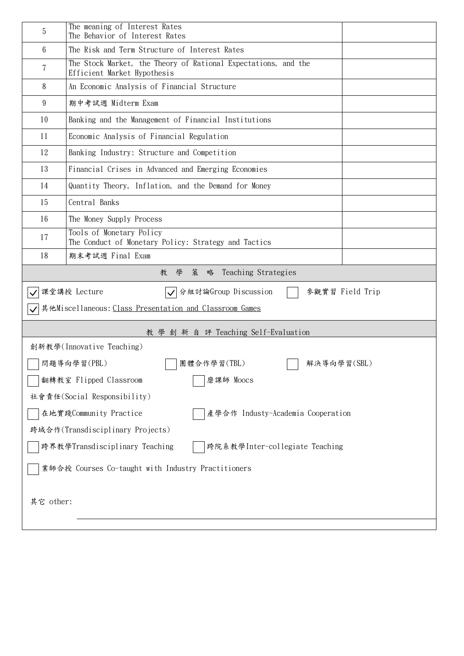| 5                                                                         | The meaning of Interest Rates<br>The Behavior of Interest Rates                               |  |  |  |  |  |  |  |
|---------------------------------------------------------------------------|-----------------------------------------------------------------------------------------------|--|--|--|--|--|--|--|
| 6                                                                         | The Risk and Term Structure of Interest Rates                                                 |  |  |  |  |  |  |  |
| 7                                                                         | The Stock Market, the Theory of Rational Expectations, and the<br>Efficient Market Hypothesis |  |  |  |  |  |  |  |
| 8                                                                         | An Economic Analysis of Financial Structure                                                   |  |  |  |  |  |  |  |
| 9                                                                         | 期中考試週 Midterm Exam                                                                            |  |  |  |  |  |  |  |
| 10                                                                        | Banking and the Management of Financial Institutions                                          |  |  |  |  |  |  |  |
| 11                                                                        | Economic Analysis of Financial Regulation                                                     |  |  |  |  |  |  |  |
| 12                                                                        | Banking Industry: Structure and Competition                                                   |  |  |  |  |  |  |  |
| 13                                                                        | Financial Crises in Advanced and Emerging Economies                                           |  |  |  |  |  |  |  |
| 14                                                                        | Quantity Theory, Inflation, and the Demand for Money                                          |  |  |  |  |  |  |  |
| 15                                                                        | Central Banks                                                                                 |  |  |  |  |  |  |  |
| 16                                                                        | The Money Supply Process                                                                      |  |  |  |  |  |  |  |
| 17                                                                        | Tools of Monetary Policy<br>The Conduct of Monetary Policy: Strategy and Tactics              |  |  |  |  |  |  |  |
| 18<br>期末考試週 Final Exam                                                    |                                                                                               |  |  |  |  |  |  |  |
| 學<br>策<br>Teaching Strategies<br>教<br>略                                   |                                                                                               |  |  |  |  |  |  |  |
| 課堂講授 Lecture<br>分組討論Group Discussion<br>參觀實習 Field Trip<br>$ \bm{\surd} $ |                                                                                               |  |  |  |  |  |  |  |
| 其他Miscellaneous: Class Presentation and Classroom Games                   |                                                                                               |  |  |  |  |  |  |  |
| 教 學 創 新 自 評 Teaching Self-Evaluation                                      |                                                                                               |  |  |  |  |  |  |  |
| 創新教學(Innovative Teaching)                                                 |                                                                                               |  |  |  |  |  |  |  |
| 問題導向學習(PBL)<br>團體合作學習(TBL)<br>解決導向學習(SBL)                                 |                                                                                               |  |  |  |  |  |  |  |
| 翻轉教室 Flipped Classroom<br>磨課師 Moocs                                       |                                                                                               |  |  |  |  |  |  |  |
| 社會責任(Social Responsibility)                                               |                                                                                               |  |  |  |  |  |  |  |
| 在地實踐Community Practice<br>產學合作 Industy-Academia Cooperation               |                                                                                               |  |  |  |  |  |  |  |
| 跨域合作(Transdisciplinary Projects)                                          |                                                                                               |  |  |  |  |  |  |  |
| 跨界教學Transdisciplinary Teaching<br>跨院系教學Inter-collegiate Teaching          |                                                                                               |  |  |  |  |  |  |  |
| 業師合授 Courses Co-taught with Industry Practitioners                        |                                                                                               |  |  |  |  |  |  |  |
| 其它 other:                                                                 |                                                                                               |  |  |  |  |  |  |  |
|                                                                           |                                                                                               |  |  |  |  |  |  |  |